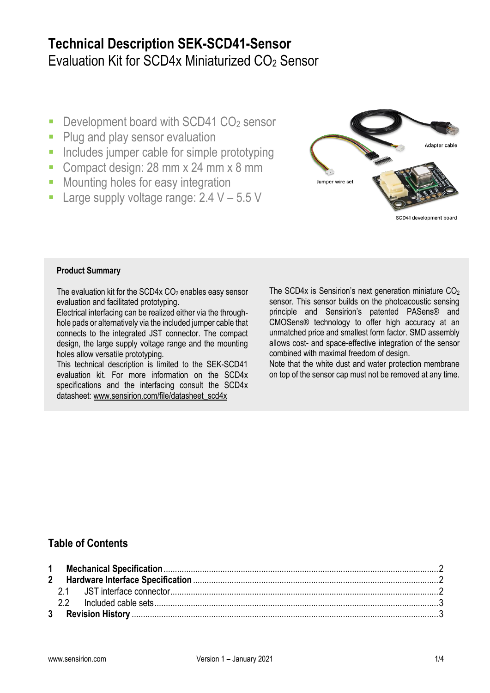# **Technical Description SEK-SCD41-Sensor** Evaluation Kit for SCD4x Miniaturized CO<sup>2</sup> Sensor

- Development board with SCD41  $CO<sub>2</sub>$  sensor
- Plug and play sensor evaluation
- **Includes jumper cable for simple prototyping**
- Compact design: 28 mm x 24 mm x 8 mm
- **Mounting holes for easy integration**
- **Large supply voltage range: 2.4**  $V 5.5$  **V**



SCD41 development board

#### **Product Summary**

The evaluation kit for the SCD4x  $CO<sub>2</sub>$  enables easy sensor evaluation and facilitated prototyping.

Electrical interfacing can be realized either via the throughhole pads or alternatively via the included jumper cable that connects to the integrated JST connector. The compact design, the large supply voltage range and the mounting holes allow versatile prototyping.

This technical description is limited to the SEK-SCD41 evaluation kit. For more information on the SCD4x specifications and the interfacing consult the SCD4x datasheet: www.sensirion.com/file/datasheet\_scd4x

The SCD4x is Sensirion's next generation miniature  $CO<sub>2</sub>$ sensor. This sensor builds on the photoacoustic sensing principle and Sensirion's patented PASens® and CMOSens® technology to offer high accuracy at an unmatched price and smallest form factor. SMD assembly allows cost- and space-effective integration of the sensor combined with maximal freedom of design.

Note that the white dust and water protection membrane on top of the sensor cap must not be removed at any time.

## **Table of Contents**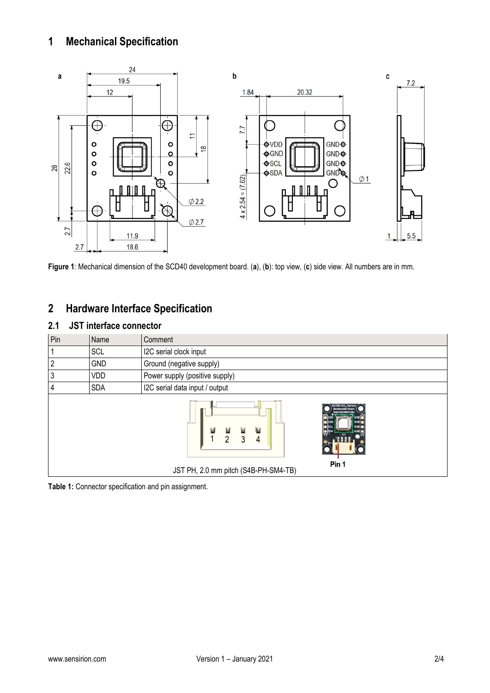## <span id="page-1-0"></span>**1 Mechanical Specification**



**Figure 1**: Mechanical dimension of the SCD40 development board. (**a**), (**b**): top view, (**c**) side view. All numbers are in mm.

## <span id="page-1-1"></span>**2 Hardware Interface Specification**

### <span id="page-1-2"></span>**2.1 JST interface connector**

| Pin | Name       | Comment                                                                                                                               |  |  |  |
|-----|------------|---------------------------------------------------------------------------------------------------------------------------------------|--|--|--|
|     | SCL        | I2C serial clock input                                                                                                                |  |  |  |
| 2   | <b>GND</b> | Ground (negative supply)                                                                                                              |  |  |  |
| 3   | VDD        | Power supply (positive supply)                                                                                                        |  |  |  |
|     | <b>SDA</b> | I2C serial data input / output                                                                                                        |  |  |  |
|     |            | <b>Development Boar</b><br>SENSIRION<br>同<br>同<br>Ξ<br>圓<br>$\overline{2}$<br>3<br>4<br>Pin 1<br>JST PH, 2.0 mm pitch (S4B-PH-SM4-TB) |  |  |  |

<span id="page-1-3"></span>**Table 1:** Connector specification and pin assignment.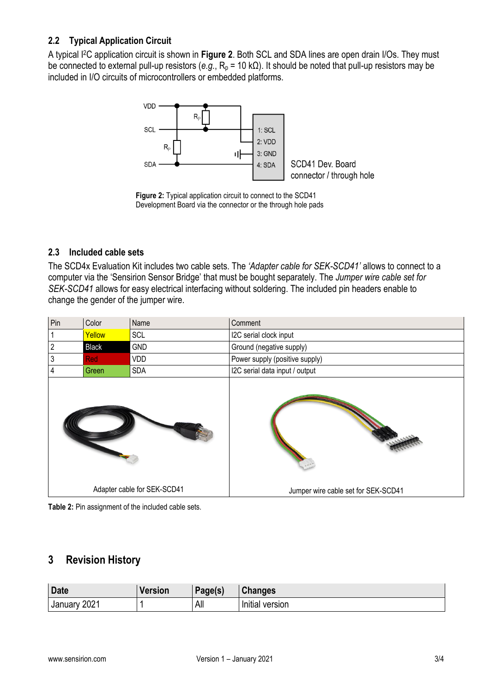### **2.2 Typical Application Circuit**

A typical I2C application circuit is shown in **[Figure 2](#page-2-1)**. Both SCL and SDA lines are open drain I/Os. They must be connected to external pull-up resistors (*e.g.*, R<sub>p</sub> = 10 kΩ). It should be noted that pull-up resistors may be included in I/O circuits of microcontrollers or embedded platforms.



<span id="page-2-1"></span>**Figure 2:** Typical application circuit to connect to the SCD41 Development Board via the connector or the through hole pads

### **2.3 Included cable sets**

The SCD4x Evaluation Kit includes two cable sets. The *'Adapter cable for SEK-SCD41'* allows to connect to a computer via the 'Sensirion Sensor Bridge' that must be bought separately. The *Jumper wire cable set for SEK-SCD41* allows for easy electrical interfacing without soldering. The included pin headers enable to change the gender of the jumper wire.

| Pin                         | Color        | Name       | Comment                             |
|-----------------------------|--------------|------------|-------------------------------------|
|                             | Yellow       | SCL        | I2C serial clock input              |
| $\overline{c}$              | <b>Black</b> | <b>GND</b> | Ground (negative supply)            |
| 3                           | <b>Red</b>   | VDD        | Power supply (positive supply)      |
| 4                           | Green        | <b>SDA</b> | I2C serial data input / output      |
|                             |              |            |                                     |
| Adapter cable for SEK-SCD41 |              |            | Jumper wire cable set for SEK-SCD41 |



### <span id="page-2-0"></span>**3 Revision History**

| <b>Date</b>       | Version | Page(s) | <b>Changes</b>         |
|-------------------|---------|---------|------------------------|
| 2021<br>January ' |         | All     | <br>version<br>Initial |